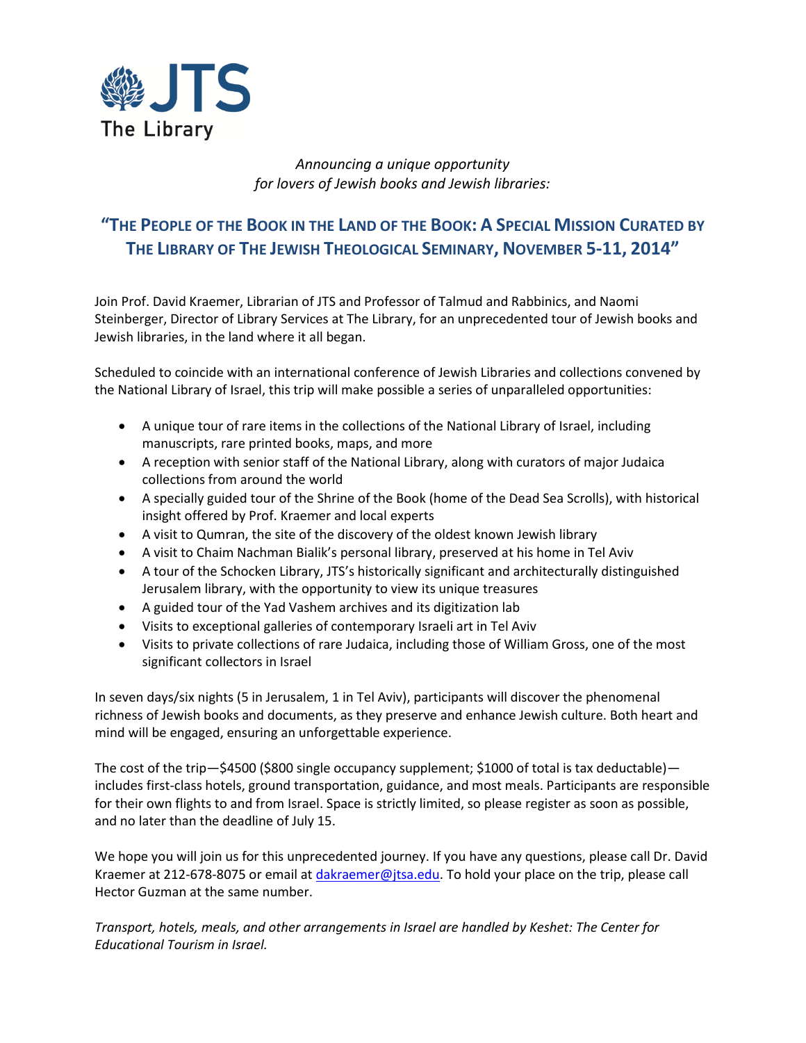

## *Announcing a unique opportunity for lovers of Jewish books and Jewish libraries:*

## **"THE PEOPLE OF THE BOOK IN THE LAND OF THE BOOK: A SPECIAL MISSION CURATED BY THE LIBRARY OF THE JEWISH THEOLOGICAL SEMINARY, NOVEMBER 5-11, 2014"**

Join Prof. David Kraemer, Librarian of JTS and Professor of Talmud and Rabbinics, and Naomi Steinberger, Director of Library Services at The Library, for an unprecedented tour of Jewish books and Jewish libraries, in the land where it all began.

Scheduled to coincide with an international conference of Jewish Libraries and collections convened by the National Library of Israel, this trip will make possible a series of unparalleled opportunities:

- A unique tour of rare items in the collections of the National Library of Israel, including manuscripts, rare printed books, maps, and more
- A reception with senior staff of the National Library, along with curators of major Judaica collections from around the world
- A specially guided tour of the Shrine of the Book (home of the Dead Sea Scrolls), with historical insight offered by Prof. Kraemer and local experts
- A visit to Qumran, the site of the discovery of the oldest known Jewish library
- A visit to Chaim Nachman Bialik's personal library, preserved at his home in Tel Aviv
- A tour of the Schocken Library, JTS's historically significant and architecturally distinguished Jerusalem library, with the opportunity to view its unique treasures
- A guided tour of the Yad Vashem archives and its digitization lab
- Visits to exceptional galleries of contemporary Israeli art in Tel Aviv
- Visits to private collections of rare Judaica, including those of William Gross, one of the most significant collectors in Israel

In seven days/six nights (5 in Jerusalem, 1 in Tel Aviv), participants will discover the phenomenal richness of Jewish books and documents, as they preserve and enhance Jewish culture. Both heart and mind will be engaged, ensuring an unforgettable experience.

The cost of the trip—\$4500 (\$800 single occupancy supplement; \$1000 of total is tax deductable) includes first-class hotels, ground transportation, guidance, and most meals. Participants are responsible for their own flights to and from Israel. Space is strictly limited, so please register as soon as possible, and no later than the deadline of July 15.

We hope you will join us for this unprecedented journey. If you have any questions, please call Dr. David Kraemer at 212-678-8075 or email at [dakraemer@jtsa.edu.](mailto:dakraemer@jtsa.edu) To hold your place on the trip, please call Hector Guzman at the same number.

*Transport, hotels, meals, and other arrangements in Israel are handled by Keshet: The Center for Educational Tourism in Israel.*